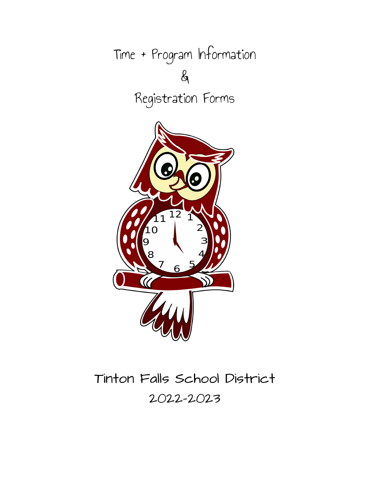

# Tinton Falls School District 2022-2023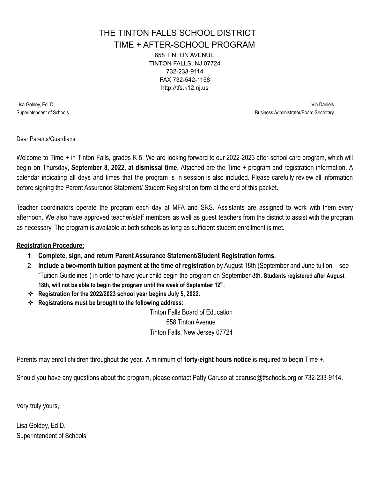## THE TINTON FALLS SCHOOL DISTRICT

TIME + AFTER-SCHOOL PROGRAM

658 TINTON AVENUE TINTON FALLS, NJ 07724 732-233-9114 FAX 732-542-1158 http://tfs.k12.nj.us

Lisa Goldey, Ed. D Vin Daniels Superintendent of Schools **Business Administrator/Board Secretary Business Administrator/Board Secretary** 

Dear Parents/Guardians:

Welcome to Time + in Tinton Falls, grades K-5. We are looking forward to our 2022-2023 after-school care program, which will begin on Thursday**, September 8, 2022, at dismissal time.** Attached are the Time + program and registration information. A calendar indicating all days and times that the program is in session is also included. Please carefully review all information before signing the Parent Assurance Statement/ Student Registration form at the end of this packet.

Teacher coordinators operate the program each day at MFA and SRS. Assistants are assigned to work with them every afternoon. We also have approved teacher/staff members as well as guest teachers from the district to assist with the program as necessary. The program is available at both schools as long as sufficient student enrollment is met.

#### **Registration Procedure:**

- 1. **Complete, sign, and return Parent Assurance Statement/Student Registration forms.**
- 2. **Include a two-month tuition payment at the time of registration** by August 18th (September and June tuition see "Tuition Guidelines") in order to have your child begin the program on September 8th. **Students registered after August 18th, will not be able to begin the program until the week of September 12th .**
- ❖ **Registration for the 2022/2023 school year begins July 5, 2022.**
- ❖ **Registrations must be brought to the following address:**

Tinton Falls Board of Education 658 Tinton Avenue Tinton Falls, New Jersey 07724

Parents may enroll children throughout the year. A minimum of **forty-eight hours notice** is required to begin Time +.

Should you have any questions about the program, please contact Patty Caruso at pcaruso@tfschools.org or 732-233-9114.

Very truly yours,

Lisa Goldey, Ed.D. Superintendent of Schools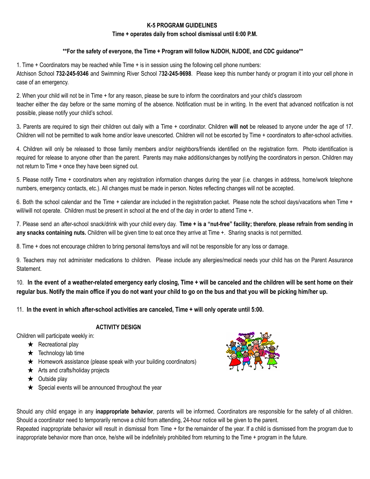#### **K-5 PROGRAM GUIDELINES**

#### **Time + operates daily from school dismissal until 6:00 P.M.**

#### **\*\*For the safety of everyone, the Time + Program will follow NJDOH, NJDOE, and CDC guidance\*\***

1. Time + Coordinators may be reached while Time + is in session using the following cell phone numbers: Atchison School **732-245-9346** and Swimming River School 7**32-245-9698**. Please keep this number handy or program it into your cell phone in case of an emergency.

2. When your child will not be in Time + for any reason, please be sure to inform the coordinators and your child's classroom teacher either the day before or the same morning of the absence. Notification must be in writing. In the event that advanced notification is not possible, please notify your child's school.

3**.** Parents are required to sign their children out daily with a Time + coordinator. Children **will not** be released to anyone under the age of 17. Children will not be permitted to walk home and/or leave unescorted. Children will not be escorted by Time + coordinators to after-school activities.

4. Children will only be released to those family members and/or neighbors/friends identified on the registration form. Photo identification is required for release to anyone other than the parent. Parents may make additions/changes by notifying the coordinators in person. Children may not return to Time + once they have been signed out.

5. Please notify Time + coordinators when any registration information changes during the year (i.e. changes in address, home/work telephone numbers, emergency contacts, etc.). All changes must be made in person. Notes reflecting changes will not be accepted.

6. Both the school calendar and the Time + calendar are included in the registration packet. Please note the school days/vacations when Time + will/will not operate. Children must be present in school at the end of the day in order to attend Time +.

7. Please send an after-school snack/drink with your child every day. Time + is a "nut-free" facility; therefore, please refrain from sending in **any snacks containing nuts.** Children will be given time to eat once they arrive at Time +. Sharing snacks is not permitted.

8. Time + does not encourage children to bring personal items/toys and will not be responsible for any loss or damage.

9. Teachers may not administer medications to children. Please include any allergies/medical needs your child has on the Parent Assurance Statement.

10. In the event of a weather-related emergency early closing, Time + will be canceled and the children will be sent home on their regular bus. Notify the main office if you do not want your child to go on the bus and that you will be picking him/her up.

11. **In the event in which after-school activities are canceled, Time + will only operate until 5:00.**

#### **ACTIVITY DESIGN**

Children will participate weekly in:

- $\star$  Recreational play
- $\star$  Technology lab time
- $\star$  Homework assistance (please speak with your building coordinators)
- $\star$  Arts and crafts/holiday projects
- $\star$  Outside play
- $\star$  Special events will be announced throughout the year



Should any child engage in any **inappropriate behavior**, parents will be informed. Coordinators are responsible for the safety of all children. Should a coordinator need to temporarily remove a child from attending, 24-hour notice will be given to the parent.

Repeated inappropriate behavior will result in dismissal from Time + for the remainder of the year. If a child is dismissed from the program due to inappropriate behavior more than once, he/she will be indefinitely prohibited from returning to the Time + program in the future.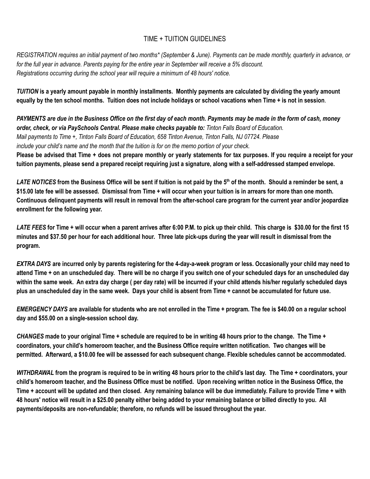#### TIME + TUITION GUIDELINES

REGISTRATION requires an initial payment of two months\* (September & June). Payments can be made monthly, quarterly in advance, or for the full year in advance. Parents paying for the entire year in September will receive a 5% discount. *Registrations occurring during the school year will require a minimum of 48 hours' notice.*

TUITION is a yearly amount payable in monthly installments. Monthly payments are calculated by dividing the yearly amount equally by the ten school months. Tuition does not include holidays or school vacations when Time + is not in session.

PAYMENTS are due in the Business Office on the first day of each month. Payments may be made in the form of cash, money *order, check, or via PaySchools Central. Please make checks payable to: Tinton Falls Board of Education.* Mail payments to Time +, Tinton Falls Board of Education, 658 Tinton Avenue, Tinton Falls, NJ 07724. Please include your child's name and the month that the tuition is for on the memo portion of your check.

Please be advised that Time + does not prepare monthly or yearly statements for tax purposes. If you require a receipt for your tuition payments, please send a prepared receipt requiring just a signature, along with a self-addressed stamped envelope.

LATE NOTICES from the Business Office will be sent if tuition is not paid by the 5<sup>th</sup> of the month. Should a reminder be sent, a \$15.00 late fee will be assessed. Dismissal from Time + will occur when your tuition is in arrears for more than one month. Continuous delinguent payments will result in removal from the after-school care program for the current year and/or jeopardize **enrollment for the following year.**

LATE FEES for Time + will occur when a parent arrives after 6:00 P.M. to pick up their child. This charge is \$30.00 for the first 15 minutes and \$37.50 per hour for each additional hour. Three late pick-ups during the year will result in dismissal from the **program.**

EXTRA DAYS are incurred only by parents registering for the 4-day-a-week program or less. Occasionally your child may need to attend Time + on an unscheduled day. There will be no charge if you switch one of your scheduled days for an unscheduled day within the same week. An extra day charge (per day rate) will be incurred if your child attends his/her regularly scheduled days plus an unscheduled day in the same week. Days your child is absent from Time + cannot be accumulated for future use.

EMERGENCY DAYS are available for students who are not enrolled in the Time + program. The fee is \$40.00 on a regular school **day and \$55.00 on a single-session school day.**

CHANGES made to your original Time + schedule are required to be in writing 48 hours prior to the change. The Time + coordinators, your child's homeroom teacher, and the Business Office require written notification. Two changes will be permitted. Afterward, a \$10.00 fee will be assessed for each subsequent change. Flexible schedules cannot be accommodated.

WITHDRAWAL from the program is required to be in writing 48 hours prior to the child's last day. The Time + coordinators, your child's homeroom teacher, and the Business Office must be notified. Upon receiving written notice in the Business Office, the Time + account will be updated and then closed. Any remaining balance will be due immediately. Failure to provide Time + with 48 hours' notice will result in a \$25.00 penalty either being added to your remaining balance or billed directly to you. All **payments/deposits are non-refundable; therefore, no refunds will be issued throughout the year.**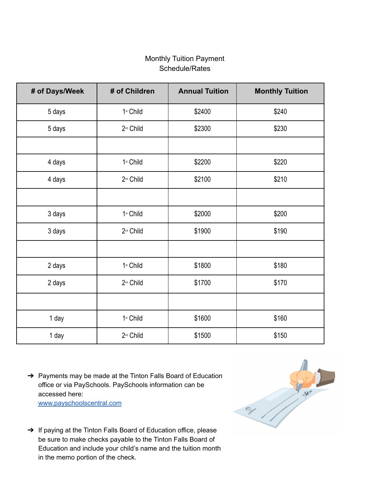### Monthly Tuition Payment Schedule/Rates

| # of Days/Week | # of Children         | <b>Annual Tuition</b> | <b>Monthly Tuition</b> |  |  |
|----------------|-----------------------|-----------------------|------------------------|--|--|
| 5 days         | 1 <sup>st</sup> Child | \$2400                | \$240                  |  |  |
| 5 days         | 2 <sup>nd</sup> Child | \$2300                | \$230                  |  |  |
|                |                       |                       |                        |  |  |
| 4 days         | 1st Child             | \$2200                | \$220                  |  |  |
| 4 days         | 2 <sup>nd</sup> Child | \$2100                | \$210                  |  |  |
|                |                       |                       |                        |  |  |
| 3 days         | 1st Child             | \$2000                | \$200                  |  |  |
| 3 days         | 2 <sup>nd</sup> Child | \$1900                | \$190                  |  |  |
|                |                       |                       |                        |  |  |
| 2 days         | 1 <sup>st</sup> Child | \$1800                | \$180                  |  |  |
| 2 days         | 2 <sup>nd</sup> Child | \$1700                | \$170                  |  |  |
|                |                       |                       |                        |  |  |
| 1 day          | 1st Child             | \$1600                | \$160                  |  |  |
| 1 day          | 2 <sup>nd</sup> Child | \$1500                | \$150                  |  |  |

→ Payments may be made at the Tinton Falls Board of Education office or via PaySchools. PaySchools information can be accessed here:

[www.payschoolscentral.com](http://www.payschoolscentral.com/)

- 21
- ➔ If paying at the Tinton Falls Board of Education office, please be sure to make checks payable to the Tinton Falls Board of Education and include your child's name and the tuition month in the memo portion of the check.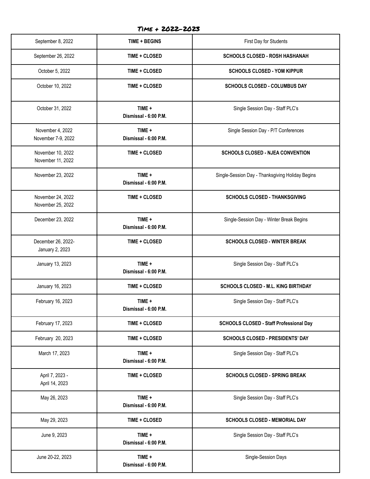#### Time + 2022-2023

| September 8, 2022                      | <b>TIME + BEGINS</b>            | First Day for Students                           |  |  |
|----------------------------------------|---------------------------------|--------------------------------------------------|--|--|
| September 26, 2022                     | TIME + CLOSED                   | <b>SCHOOLS CLOSED - ROSH HASHANAH</b>            |  |  |
| October 5, 2022                        | TIME + CLOSED                   | <b>SCHOOLS CLOSED - YOM KIPPUR</b>               |  |  |
| October 10, 2022                       | <b>TIME + CLOSED</b>            | <b>SCHOOLS CLOSED - COLUMBUS DAY</b>             |  |  |
| October 31, 2022                       | TIME +<br>Dismissal - 6:00 P.M. | Single Session Day - Staff PLC's                 |  |  |
| November 4, 2022<br>November 7-9, 2022 | TIME +<br>Dismissal - 6:00 P.M. | Single Session Day - P/T Conferences             |  |  |
| November 10, 2022<br>November 11, 2022 | TIME + CLOSED                   | <b>SCHOOLS CLOSED - NJEA CONVENTION</b>          |  |  |
| November 23, 2022                      | TIME +<br>Dismissal - 6:00 P.M. | Single-Session Day - Thanksgiving Holiday Begins |  |  |
| November 24, 2022<br>November 25, 2022 | TIME + CLOSED                   | <b>SCHOOLS CLOSED - THANKSGIVING</b>             |  |  |
| December 23, 2022                      | TIME +<br>Dismissal - 6:00 P.M. | Single-Session Day - Winter Break Begins         |  |  |
| December 26, 2022-<br>January 2, 2023  | TIME + CLOSED                   | <b>SCHOOLS CLOSED - WINTER BREAK</b>             |  |  |
| January 13, 2023                       | TIME +<br>Dismissal - 6:00 P.M. | Single Session Day - Staff PLC's                 |  |  |
| January 16, 2023                       | TIME + CLOSED                   | <b>SCHOOLS CLOSED - M.L. KING BIRTHDAY</b>       |  |  |
| February 16, 2023                      | TIME +<br>Dismissal - 6:00 P.M. | Single Session Day - Staff PLC's                 |  |  |
| February 17, 2023                      | TIME + CLOSED                   | <b>SCHOOLS CLOSED - Staff Professional Day</b>   |  |  |
| February 20, 2023                      | TIME + CLOSED                   | <b>SCHOOLS CLOSED - PRESIDENTS' DAY</b>          |  |  |
| March 17, 2023                         | TIME +<br>Dismissal - 6:00 P.M. | Single Session Day - Staff PLC's                 |  |  |
| April 7, 2023 -<br>April 14, 2023      | TIME + CLOSED                   | <b>SCHOOLS CLOSED - SPRING BREAK</b>             |  |  |
| May 26, 2023                           | TIME +<br>Dismissal - 6:00 P.M. | Single Session Day - Staff PLC's                 |  |  |
| May 29, 2023                           | TIME + CLOSED                   | SCHOOLS CLOSED - MEMORIAL DAY                    |  |  |
| June 9, 2023                           | TIME +<br>Dismissal - 6:00 P.M. | Single Session Day - Staff PLC's                 |  |  |
| June 20-22, 2023                       | TIME +<br>Dismissal - 6:00 P.M. | Single-Session Days                              |  |  |